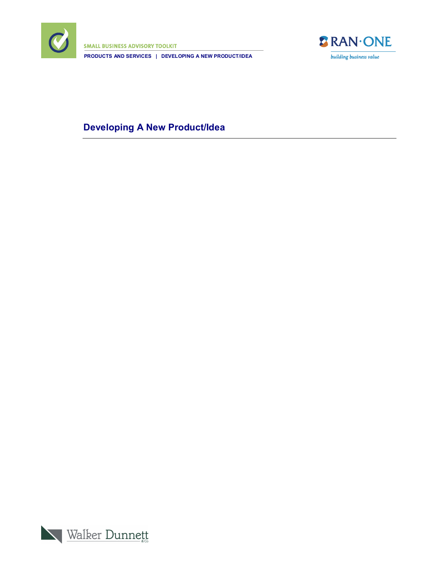

**SMALL BUSINESS ADVISORY TOOLKIT PRODUCTS AND SERVICES | DEVELOPING A NEW PRODUCT/IDEA**



## **Developing A New Product/Idea**

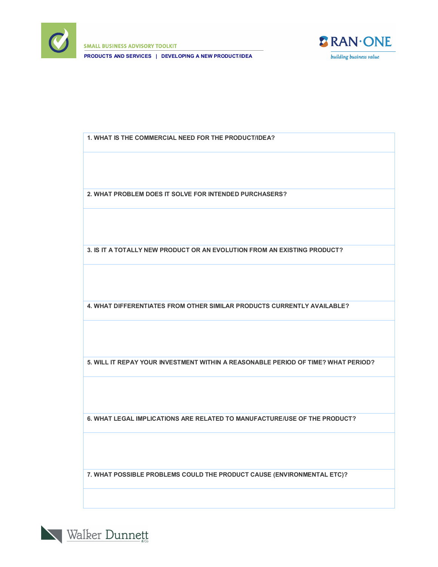

**SMALL BUSINESS ADVISORY TOOLKIT PRODUCTS AND SERVICES | DEVELOPING A NEW PRODUCT/IDEA**



**1. WHAT IS THE COMMERCIAL NEED FOR THE PRODUCT/IDEA?**

**2. WHAT PROBLEM DOES IT SOLVE FOR INTENDED PURCHASERS?**

**3. IS IT A TOTALLY NEW PRODUCT OR AN EVOLUTION FROM AN EXISTING PRODUCT?**

**4. WHAT DIFFERENTIATES FROM OTHER SIMILAR PRODUCTS CURRENTLY AVAILABLE?**

**5. WILL IT REPAY YOUR INVESTMENT WITHIN A REASONABLE PERIOD OF TIME? WHAT PERIOD?**

**6. WHAT LEGAL IMPLICATIONS ARE RELATED TO MANUFACTURE/USE OF THE PRODUCT?**

**7. WHAT POSSIBLE PROBLEMS COULD THE PRODUCT CAUSE (ENVIRONMENTAL ETC)?**

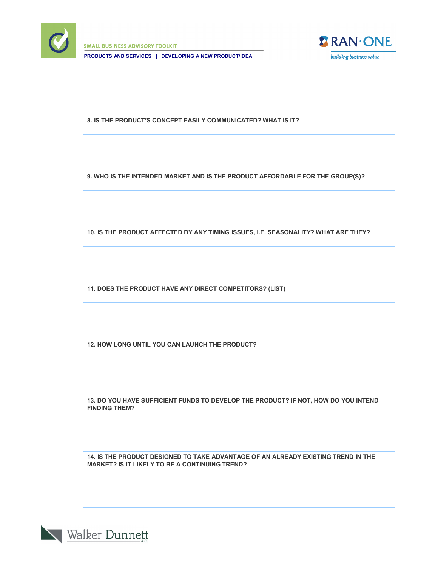

**SMALL BUSINESS ADVISORY TOOLKIT** 

**PRODUCTS AND SERVICES | DEVELOPING A NEW PRODUCT/IDEA**



**8. IS THE PRODUCT'S CONCEPT EASILY COMMUNICATED? WHAT IS IT?**

**9. WHO IS THE INTENDED MARKET AND IS THE PRODUCT AFFORDABLE FOR THE GROUP(S)?**

**10. IS THE PRODUCT AFFECTED BY ANY TIMING ISSUES, I.E. SEASONALITY? WHAT ARE THEY?**

**11. DOES THE PRODUCT HAVE ANY DIRECT COMPETITORS? (LIST)**

**12. HOW LONG UNTIL YOU CAN LAUNCH THE PRODUCT?**

**13. DO YOU HAVE SUFFICIENT FUNDS TO DEVELOP THE PRODUCT? IF NOT, HOW DO YOU INTEND FINDING THEM?**

**14. IS THE PRODUCT DESIGNED TO TAKE ADVANTAGE OF AN ALREADY EXISTING TREND IN THE MARKET? IS IT LIKELY TO BE A CONTINUING TREND?**